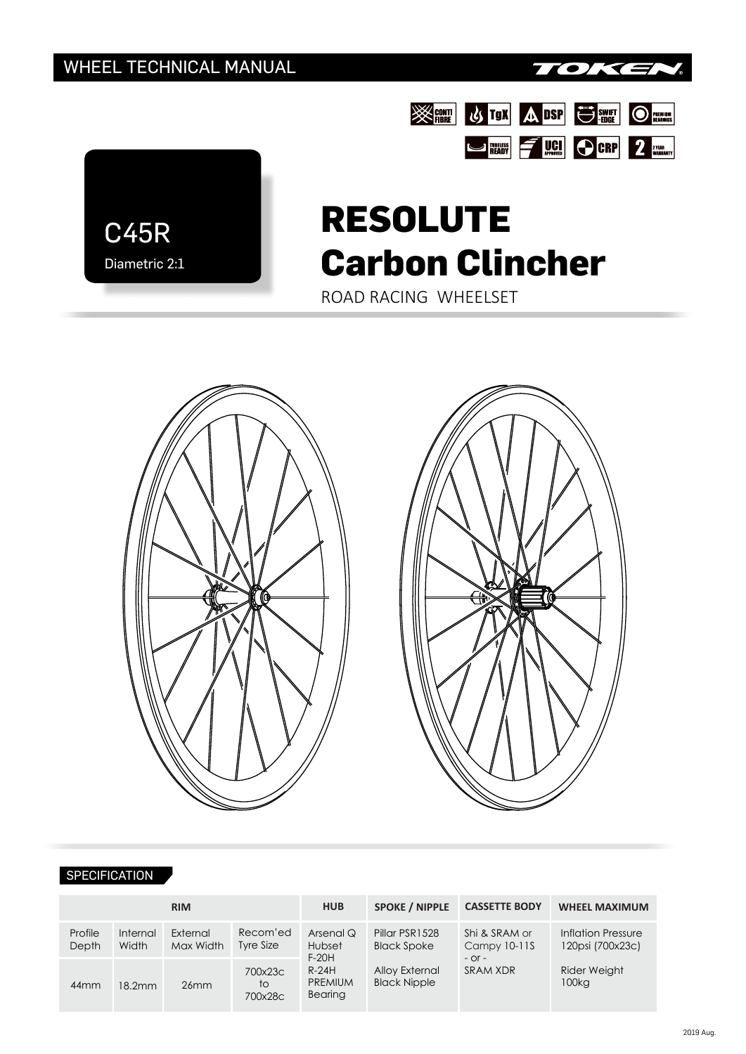

**SEAR US TON A DSP US SWET OF REALLY ASSESS** 

STREAM FUCH OCRP 2 VERAL TO DERE



# **RESOLUTE Carbon Clincher**

ROAD RACING WHEELSET



#### SPECIFICATION

| <b>RIM</b>       |                   |                       |                          | <b>HUB</b>                                                                    | <b>SPOKE / NIPPLE</b>                                                                | <b>CASSETTE BODY</b>                                    | <b>WHEEL MAXIMUM</b>                   |  |
|------------------|-------------------|-----------------------|--------------------------|-------------------------------------------------------------------------------|--------------------------------------------------------------------------------------|---------------------------------------------------------|----------------------------------------|--|
| Profile<br>Depth | Internal<br>Width | External<br>Max Width | Recom'ed<br>Tyre Size    | Arsenal Q<br>Hubset<br>$F-20H$<br>$R-24H$<br><b>PREMIUM</b><br><b>Bearing</b> | Pillar PSR1528<br><b>Black Spoke</b><br><b>Alloy External</b><br><b>Black Nipple</b> | Shi & SRAM or<br>Campy 10-11S<br>$-$ Or $-$<br>SRAM XDR | Inflation Pressure<br>120psi (700x23c) |  |
| 44 <sub>mm</sub> | 18.2mm            | 26mm                  | 700x23c<br>to<br>700x28c |                                                                               |                                                                                      |                                                         | Rider Weight<br>100kg                  |  |